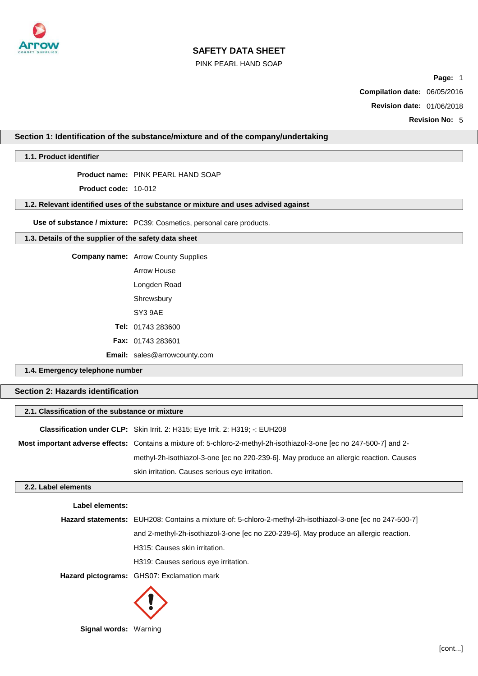

### PINK PEARL HAND SOAP

**Page:** 1

**Compilation date:** 06/05/2016

**Revision date:** 01/06/2018

**Revision No:** 5

# **Section 1: Identification of the substance/mixture and of the company/undertaking**

# **1.1. Product identifier**

**Product name:** PINK PEARL HAND SOAP

**Product code:** 10-012

### **1.2. Relevant identified uses of the substance or mixture and uses advised against**

**Use of substance / mixture:** PC39: Cosmetics, personal care products.

## **1.3. Details of the supplier of the safety data sheet**

**Company name:** Arrow County Supplies

| Arrow House |
|-------------|
|             |

Longden Road

Shrewsbury

SY3 9AE

**Tel:** 01743 283600

**Fax:** 01743 283601

**Email:** sales@arrowcounty.com

# **1.4. Emergency telephone number**

# **Section 2: Hazards identification**

| 2.1. Classification of the substance or mixture                                                                       |  |  |
|-----------------------------------------------------------------------------------------------------------------------|--|--|
| Classification under CLP: Skin Irrit. 2: H315; Eye Irrit. 2: H319; -: EUH208                                          |  |  |
| Most important adverse effects: Contains a mixture of: 5-chloro-2-methyl-2h-isothiazol-3-one [ec no 247-500-7] and 2- |  |  |
| methyl-2h-isothiazol-3-one [ec no 220-239-6]. May produce an allergic reaction. Causes                                |  |  |
| skin irritation. Causes serious eye irritation.                                                                       |  |  |
|                                                                                                                       |  |  |

# **2.2. Label elements**

**Label elements:**

| Hazard statements: EUH208: Contains a mixture of: 5-chloro-2-methyl-2h-isothiazol-3-one [ec no 247-500-7] |  |  |
|-----------------------------------------------------------------------------------------------------------|--|--|
|-----------------------------------------------------------------------------------------------------------|--|--|

and 2-methyl-2h-isothiazol-3-one [ec no 220-239-6]. May produce an allergic reaction.

H315: Causes skin irritation.

H319: Causes serious eye irritation.

**Hazard pictograms:** GHS07: Exclamation mark



**Signal words:** Warning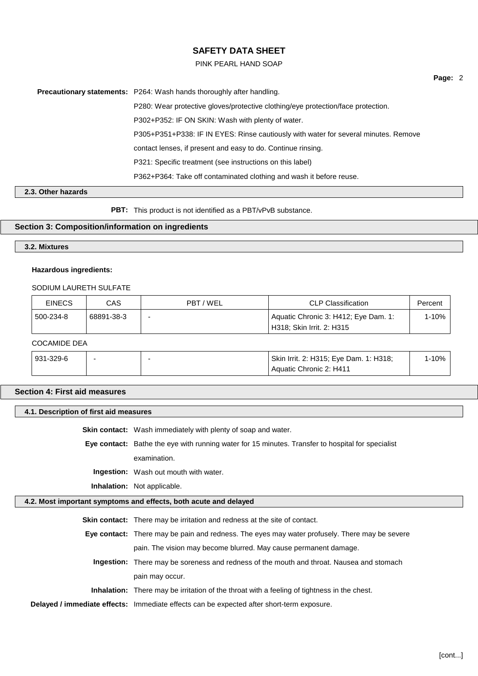### PINK PEARL HAND SOAP

**Page:** 2

**Precautionary statements:** P264: Wash hands thoroughly after handling. P280: Wear protective gloves/protective clothing/eye protection/face protection. P302+P352: IF ON SKIN: Wash with plenty of water. P305+P351+P338: IF IN EYES: Rinse cautiously with water for several minutes. Remove contact lenses, if present and easy to do. Continue rinsing. P321: Specific treatment (see instructions on this label) P362+P364: Take off contaminated clothing and wash it before reuse.

# **2.3. Other hazards**

**PBT:** This product is not identified as a PBT/vPvB substance.

### **Section 3: Composition/information on ingredients**

# **3.2. Mixtures**

### **Hazardous ingredients:**

## SODIUM LAURETH SULFATE

| <b>EINECS</b> | CAS        | PBT / WEL | <b>CLP Classification</b>                                         | Percent |
|---------------|------------|-----------|-------------------------------------------------------------------|---------|
| 500-234-8!    | 68891-38-3 |           | Aquatic Chronic 3: H412; Eye Dam. 1:<br>H318; Skin Irrit. 2: H315 | 1-10%   |
| OMMDF DFA     |            |           |                                                                   |         |

#### COCAMIDE DEA

| 931-329-6 |  | Skin Irrit. 2: H315; Eye Dam. 1: H318; | $1 - 10%$ |
|-----------|--|----------------------------------------|-----------|
|           |  | Aquatic Chronic 2: H411                |           |

### **Section 4: First aid measures**

## **4.1. Description of first aid measures**

**Skin contact:** Wash immediately with plenty of soap and water.

**Eye contact:** Bathe the eye with running water for 15 minutes. Transfer to hospital for specialist examination.

**Ingestion:** Wash out mouth with water.

**Inhalation:** Not applicable.

### **4.2. Most important symptoms and effects, both acute and delayed**

**Skin contact:** There may be irritation and redness at the site of contact.

**Eye contact:** There may be pain and redness. The eyes may water profusely. There may be severe pain. The vision may become blurred. May cause permanent damage.

**Ingestion:** There may be soreness and redness of the mouth and throat. Nausea and stomach pain may occur.

**Inhalation:** There may be irritation of the throat with a feeling of tightness in the chest.

**Delayed / immediate effects:** Immediate effects can be expected after short-term exposure.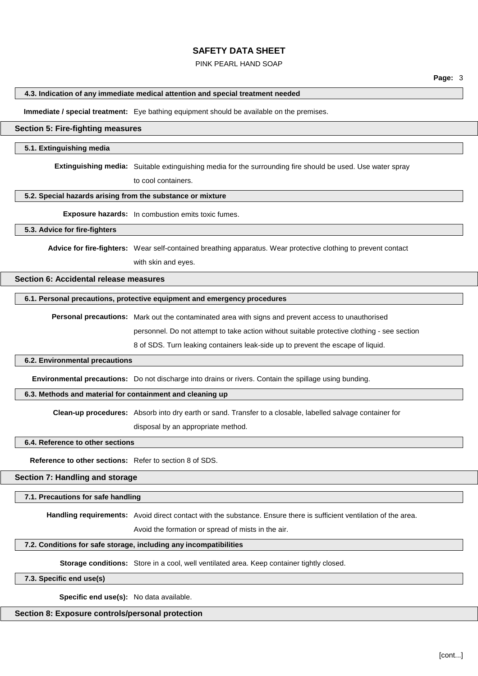### PINK PEARL HAND SOAP

## **4.3. Indication of any immediate medical attention and special treatment needed**

**Immediate / special treatment:** Eye bathing equipment should be available on the premises.

## **Section 5: Fire-fighting measures**

#### **5.1. Extinguishing media**

**Extinguishing media:** Suitable extinguishing media for the surrounding fire should be used. Use water spray

to cool containers.

#### **5.2. Special hazards arising from the substance or mixture**

**Exposure hazards:** In combustion emits toxic fumes.

### **5.3. Advice for fire-fighters**

**Advice for fire-fighters:** Wear self-contained breathing apparatus. Wear protective clothing to prevent contact with skin and eyes.

# **Section 6: Accidental release measures**

#### **6.1. Personal precautions, protective equipment and emergency procedures**

**Personal precautions:** Mark out the contaminated area with signs and prevent access to unauthorised

personnel. Do not attempt to take action without suitable protective clothing - see section

8 of SDS. Turn leaking containers leak-side up to prevent the escape of liquid.

#### **6.2. Environmental precautions**

**Environmental precautions:** Do not discharge into drains or rivers. Contain the spillage using bunding.

### **6.3. Methods and material for containment and cleaning up**

**Clean-up procedures:** Absorb into dry earth or sand. Transfer to a closable, labelled salvage container for

disposal by an appropriate method.

**6.4. Reference to other sections**

**Reference to other sections:** Refer to section 8 of SDS.

## **Section 7: Handling and storage**

#### **7.1. Precautions for safe handling**

**Handling requirements:** Avoid direct contact with the substance. Ensure there is sufficient ventilation of the area.

Avoid the formation or spread of mists in the air.

### **7.2. Conditions for safe storage, including any incompatibilities**

**Storage conditions:** Store in a cool, well ventilated area. Keep container tightly closed.

### **7.3. Specific end use(s)**

**Specific end use(s):** No data available.

## **Section 8: Exposure controls/personal protection**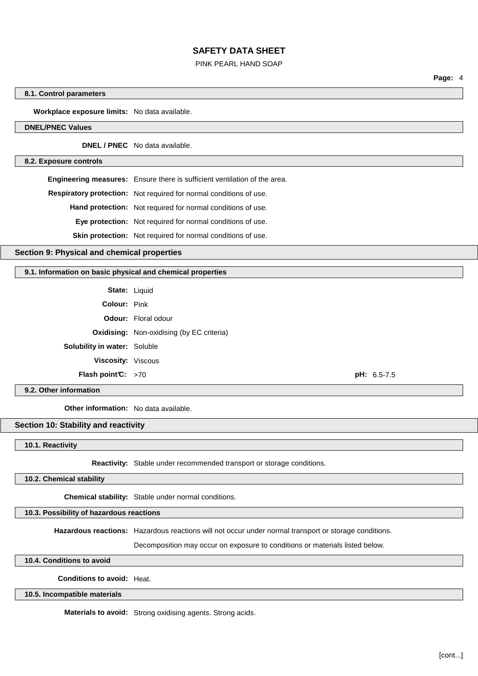#### PINK PEARL HAND SOAP

**Page:** 4

#### **8.1. Control parameters**

**Workplace exposure limits:** No data available.

# **DNEL/PNEC Values**

**DNEL / PNEC** No data available.

#### **8.2. Exposure controls**

**Engineering measures:** Ensure there is sufficient ventilation of the area. **Respiratory protection:** Not required for normal conditions of use. **Hand protection:** Not required for normal conditions of use. **Eye protection:** Not required for normal conditions of use.

**Skin protection:** Not required for normal conditions of use.

# **Section 9: Physical and chemical properties**

#### **9.1. Information on basic physical and chemical properties**

**State:** Liquid **Colour:** Pink **Odour:** Floral odour **Oxidising:** Non-oxidising (by EC criteria) **Solubility in water:** Soluble **Viscosity:** Viscous **Flash point°C:** >70 **pH:** 6.5-7.5

### **9.2. Other information**

**Other information:** No data available.

## **Section 10: Stability and reactivity**

#### **10.1. Reactivity**

**Reactivity:** Stable under recommended transport or storage conditions.

### **10.2. Chemical stability**

**Chemical stability:** Stable under normal conditions.

### **10.3. Possibility of hazardous reactions**

**Hazardous reactions:** Hazardous reactions will not occur under normal transport or storage conditions.

Decomposition may occur on exposure to conditions or materials listed below.

### **10.4. Conditions to avoid**

### **Conditions to avoid:** Heat.

**10.5. Incompatible materials**

**Materials to avoid:** Strong oxidising agents. Strong acids.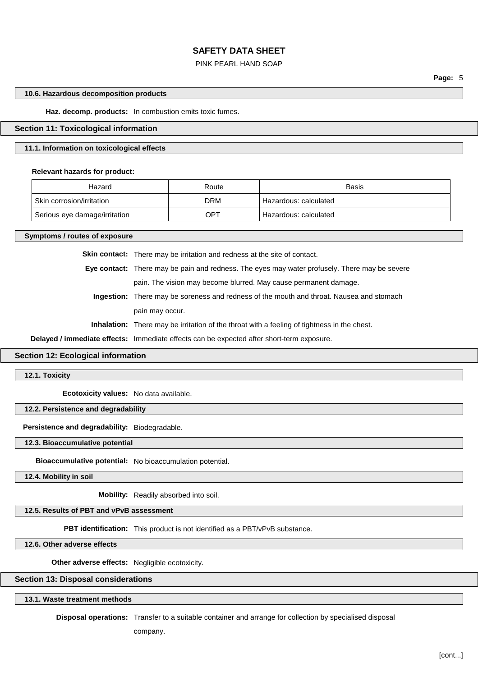#### PINK PEARL HAND SOAP

**Page:** 5

### **10.6. Hazardous decomposition products**

**Haz. decomp. products:** In combustion emits toxic fumes.

### **Section 11: Toxicological information**

### **11.1. Information on toxicological effects**

### **Relevant hazards for product:**

| Hazard                        | Route | Basis                   |
|-------------------------------|-------|-------------------------|
| Skin corrosion/irritation     | DRM   | ' Hazardous: calculated |
| Serious eye damage/irritation | OPT   | Hazardous: calculated   |

**Symptoms / routes of exposure**

**Skin contact:** There may be irritation and redness at the site of contact.

**Eye contact:** There may be pain and redness. The eyes may water profusely. There may be severe pain. The vision may become blurred. May cause permanent damage.

**Ingestion:** There may be soreness and redness of the mouth and throat. Nausea and stomach pain may occur.

**Inhalation:** There may be irritation of the throat with a feeling of tightness in the chest.

**Delayed / immediate effects:** Immediate effects can be expected after short-term exposure.

### **Section 12: Ecological information**

**12.1. Toxicity**

**Ecotoxicity values:** No data available.

# **12.2. Persistence and degradability**

**Persistence and degradability:** Biodegradable.

**12.3. Bioaccumulative potential**

**Bioaccumulative potential:** No bioaccumulation potential.

**12.4. Mobility in soil**

**Mobility:** Readily absorbed into soil.

# **12.5. Results of PBT and vPvB assessment**

**PBT identification:** This product is not identified as a PBT/vPvB substance.

**12.6. Other adverse effects**

**Other adverse effects:** Negligible ecotoxicity.

## **Section 13: Disposal considerations**

**13.1. Waste treatment methods**

**Disposal operations:** Transfer to a suitable container and arrange for collection by specialised disposal